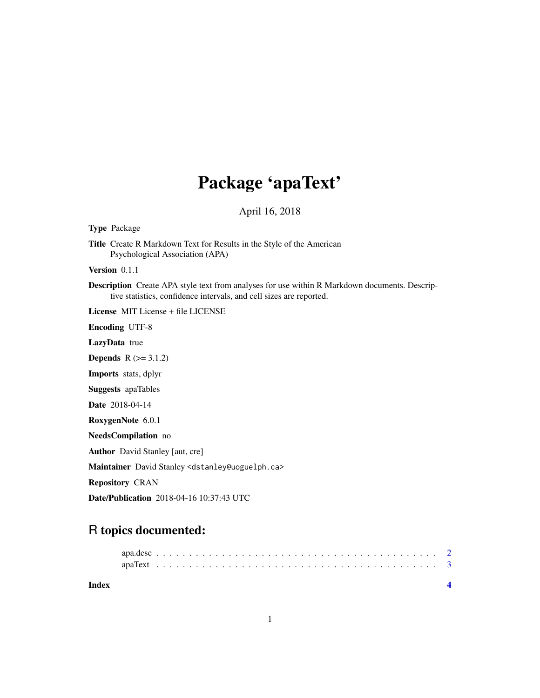# Package 'apaText'

April 16, 2018

Type Package

Title Create R Markdown Text for Results in the Style of the American Psychological Association (APA)

Version 0.1.1

Description Create APA style text from analyses for use within R Markdown documents. Descriptive statistics, confidence intervals, and cell sizes are reported.

License MIT License + file LICENSE

Encoding UTF-8

LazyData true

**Depends**  $R$  ( $>= 3.1.2$ )

Imports stats, dplyr

Suggests apaTables

Date 2018-04-14

RoxygenNote 6.0.1

NeedsCompilation no

Author David Stanley [aut, cre]

Maintainer David Stanley <dstanley@uoguelph.ca>

Repository CRAN

Date/Publication 2018-04-16 10:37:43 UTC

# R topics documented:

| Index |  |  |  |  |  |  |  |  |  |  |  |  |  |  |  |  |  |  |  |  |
|-------|--|--|--|--|--|--|--|--|--|--|--|--|--|--|--|--|--|--|--|--|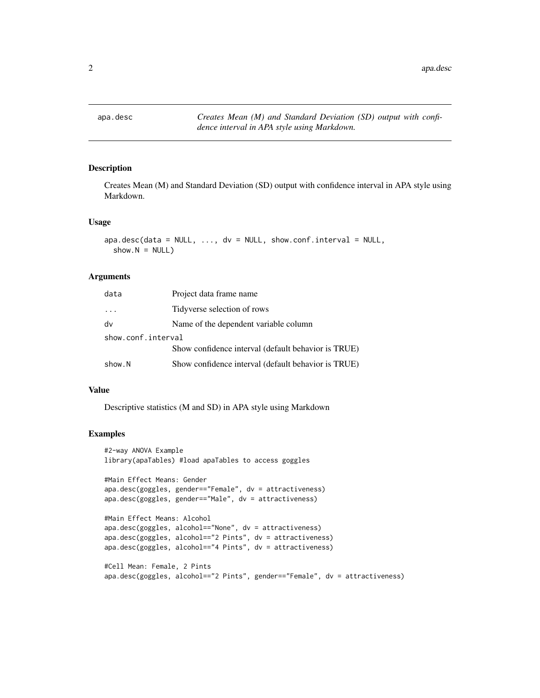<span id="page-1-0"></span>

#### Description

Creates Mean (M) and Standard Deviation (SD) output with confidence interval in APA style using Markdown.

#### Usage

```
apa.desc(data = NULL, ..., dv = NULL, show.config.interval = NULL,show.N = NULL)
```
#### Arguments

| data               | Project data frame name                             |
|--------------------|-----------------------------------------------------|
| $\cdot$ .          | Tidyverse selection of rows                         |
| dv                 | Name of the dependent variable column               |
| show.conf.interval |                                                     |
|                    | Show confidence interval (default behavior is TRUE) |
| show.N             | Show confidence interval (default behavior is TRUE) |

#### Value

Descriptive statistics (M and SD) in APA style using Markdown

#### Examples

```
#2-way ANOVA Example
library(apaTables) #load apaTables to access goggles
#Main Effect Means: Gender
apa.desc(goggles, gender=="Female", dv = attractiveness)
apa.desc(goggles, gender=="Male", dv = attractiveness)
#Main Effect Means: Alcohol
apa.desc(goggles, alcohol=="None", dv = attractiveness)
apa.desc(goggles, alcohol=="2 Pints", dv = attractiveness)
apa.desc(goggles, alcohol=="4 Pints", dv = attractiveness)
#Cell Mean: Female, 2 Pints
apa.desc(goggles, alcohol=="2 Pints", gender=="Female", dv = attractiveness)
```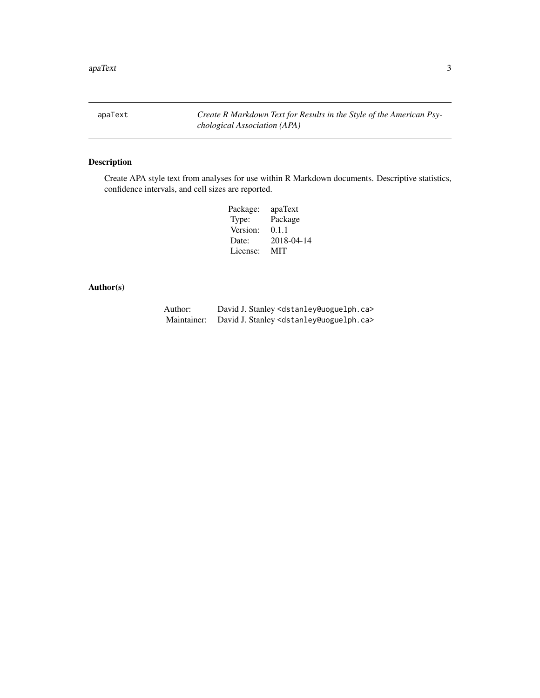<span id="page-2-0"></span>apaText *Create R Markdown Text for Results in the Style of the American Psychological Association (APA)*

## Description

Create APA style text from analyses for use within R Markdown documents. Descriptive statistics, confidence intervals, and cell sizes are reported.

| Package: | apaText    |
|----------|------------|
| Type:    | Package    |
| Version: | 0.1.1      |
| Date:    | 2018-04-14 |
| License: | MIT        |

### Author(s)

| Author:     | David J. Stanley <dstanley@uoguelph.ca></dstanley@uoguelph.ca> |
|-------------|----------------------------------------------------------------|
| Maintainer: | David J. Stanley <dstanley@uoguelph.ca></dstanley@uoguelph.ca> |